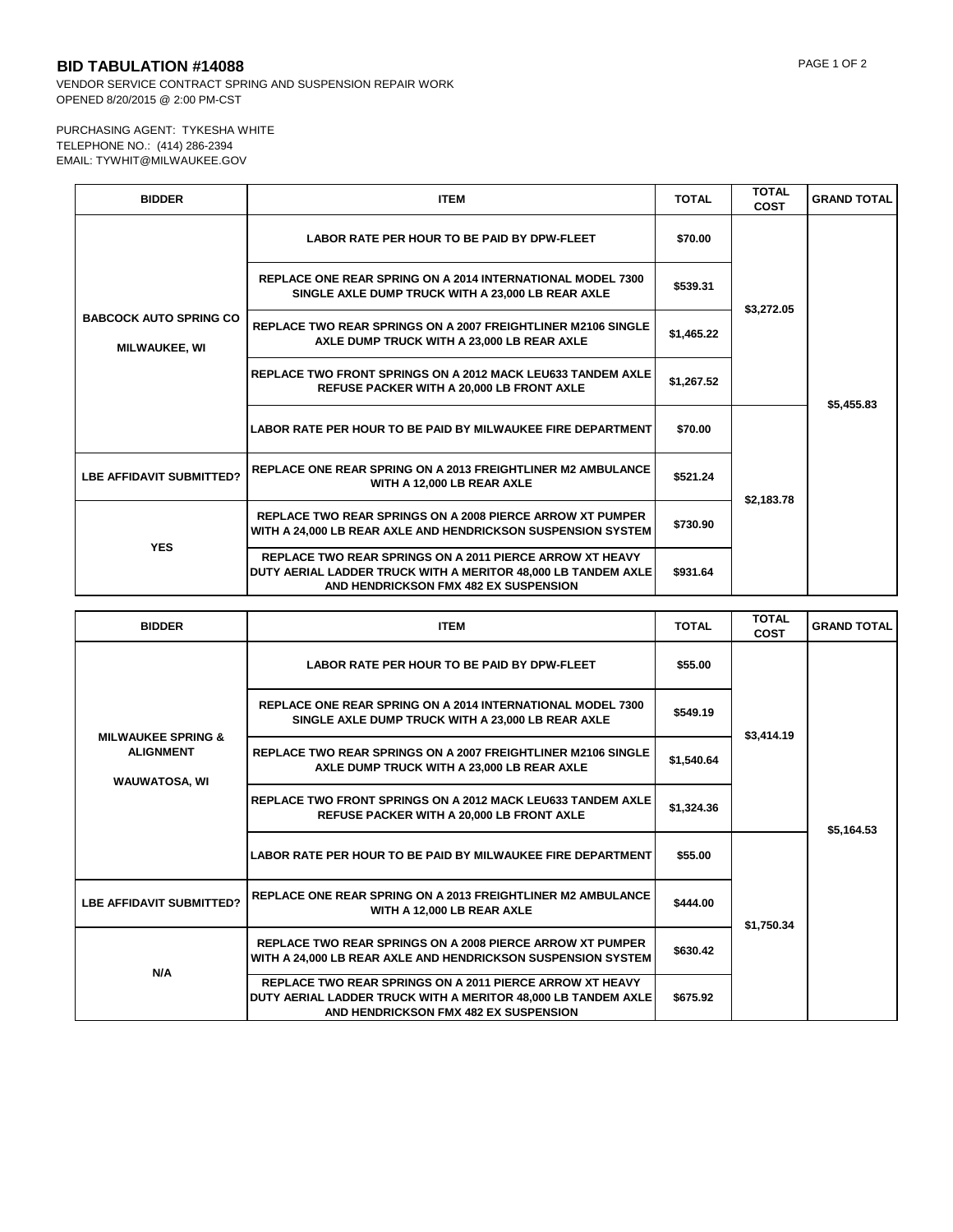## **BID TABULATION #14088** PAGE 1 OF 2

VENDOR SERVICE CONTRACT SPRING AND SUSPENSION REPAIR WORK OPENED 8/20/2015 @ 2:00 PM-CST

## PURCHASING AGENT: TYKESHA WHITE TELEPHONE NO.: (414) 286-2394 EMAIL: TYWHIT@MILWAUKEE.GOV

| <b>BIDDER</b>                                         | <b>ITEM</b>                                                                                                                                                               | <b>TOTAL</b> | <b>TOTAL</b><br><b>COST</b> | <b>GRAND TOTAL</b> |
|-------------------------------------------------------|---------------------------------------------------------------------------------------------------------------------------------------------------------------------------|--------------|-----------------------------|--------------------|
| <b>BABCOCK AUTO SPRING CO</b><br><b>MILWAUKEE, WI</b> | <b>LABOR RATE PER HOUR TO BE PAID BY DPW-FLEET</b>                                                                                                                        | \$70.00      | \$3,272.05                  | \$5,455.83         |
|                                                       | <b>REPLACE ONE REAR SPRING ON A 2014 INTERNATIONAL MODEL 7300</b><br>SINGLE AXLE DUMP TRUCK WITH A 23,000 LB REAR AXLE                                                    | \$539.31     |                             |                    |
|                                                       | <b>REPLACE TWO REAR SPRINGS ON A 2007 FREIGHTLINER M2106 SINGLE</b><br>AXLE DUMP TRUCK WITH A 23,000 LB REAR AXLE                                                         | \$1,465.22   |                             |                    |
|                                                       | <b>REPLACE TWO FRONT SPRINGS ON A 2012 MACK LEU633 TANDEM AXLE</b><br><b>REFUSE PACKER WITH A 20,000 LB FRONT AXLE</b>                                                    | \$1,267.52   |                             |                    |
|                                                       | LABOR RATE PER HOUR TO BE PAID BY MILWAUKEE FIRE DEPARTMENT                                                                                                               | \$70.00      | \$2,183.78                  |                    |
| <b>LBE AFFIDAVIT SUBMITTED?</b>                       | <b>REPLACE ONE REAR SPRING ON A 2013 FREIGHTLINER M2 AMBULANCE</b><br>WITH A 12,000 LB REAR AXLE                                                                          | \$521.24     |                             |                    |
| <b>YES</b>                                            | <b>REPLACE TWO REAR SPRINGS ON A 2008 PIERCE ARROW XT PUMPER</b><br>WITH A 24,000 LB REAR AXLE AND HENDRICKSON SUSPENSION SYSTEM                                          | \$730.90     |                             |                    |
|                                                       | <b>REPLACE TWO REAR SPRINGS ON A 2011 PIERCE ARROW XT HEAVY</b><br>DUTY AERIAL LADDER TRUCK WITH A MERITOR 48,000 LB TANDEM AXLE<br>AND HENDRICKSON FMX 482 EX SUSPENSION | \$931.64     |                             |                    |

| <b>BIDDER</b>                                                             | <b>ITEM</b>                                                                                                                                                               | <b>TOTAL</b> | <b>TOTAL</b><br><b>COST</b> | <b>GRAND TOTAL</b> |
|---------------------------------------------------------------------------|---------------------------------------------------------------------------------------------------------------------------------------------------------------------------|--------------|-----------------------------|--------------------|
| <b>MILWAUKEE SPRING &amp;</b><br><b>ALIGNMENT</b><br><b>WAUWATOSA, WI</b> | <b>LABOR RATE PER HOUR TO BE PAID BY DPW-FLEET</b>                                                                                                                        | \$55.00      | \$3,414.19                  | \$5,164.53         |
|                                                                           | <b>REPLACE ONE REAR SPRING ON A 2014 INTERNATIONAL MODEL 7300</b><br>SINGLE AXLE DUMP TRUCK WITH A 23,000 LB REAR AXLE                                                    | \$549.19     |                             |                    |
|                                                                           | <b>REPLACE TWO REAR SPRINGS ON A 2007 FREIGHTLINER M2106 SINGLE</b><br>AXLE DUMP TRUCK WITH A 23,000 LB REAR AXLE                                                         | \$1,540.64   |                             |                    |
|                                                                           | <b>REPLACE TWO FRONT SPRINGS ON A 2012 MACK LEU633 TANDEM AXLE</b><br><b>REFUSE PACKER WITH A 20,000 LB FRONT AXLE</b>                                                    | \$1,324.36   |                             |                    |
|                                                                           | <b>LABOR RATE PER HOUR TO BE PAID BY MILWAUKEE FIRE DEPARTMENT</b>                                                                                                        | \$55.00      | \$1,750.34                  |                    |
| <b>LBE AFFIDAVIT SUBMITTED?</b>                                           | <b>REPLACE ONE REAR SPRING ON A 2013 FREIGHTLINER M2 AMBULANCE</b><br>WITH A 12,000 LB REAR AXLE                                                                          | \$444.00     |                             |                    |
| N/A                                                                       | <b>REPLACE TWO REAR SPRINGS ON A 2008 PIERCE ARROW XT PUMPER</b><br>WITH A 24,000 LB REAR AXLE AND HENDRICKSON SUSPENSION SYSTEM                                          | \$630.42     |                             |                    |
|                                                                           | <b>REPLACE TWO REAR SPRINGS ON A 2011 PIERCE ARROW XT HEAVY</b><br>DUTY AERIAL LADDER TRUCK WITH A MERITOR 48,000 LB TANDEM AXLE<br>AND HENDRICKSON FMX 482 EX SUSPENSION | \$675.92     |                             |                    |